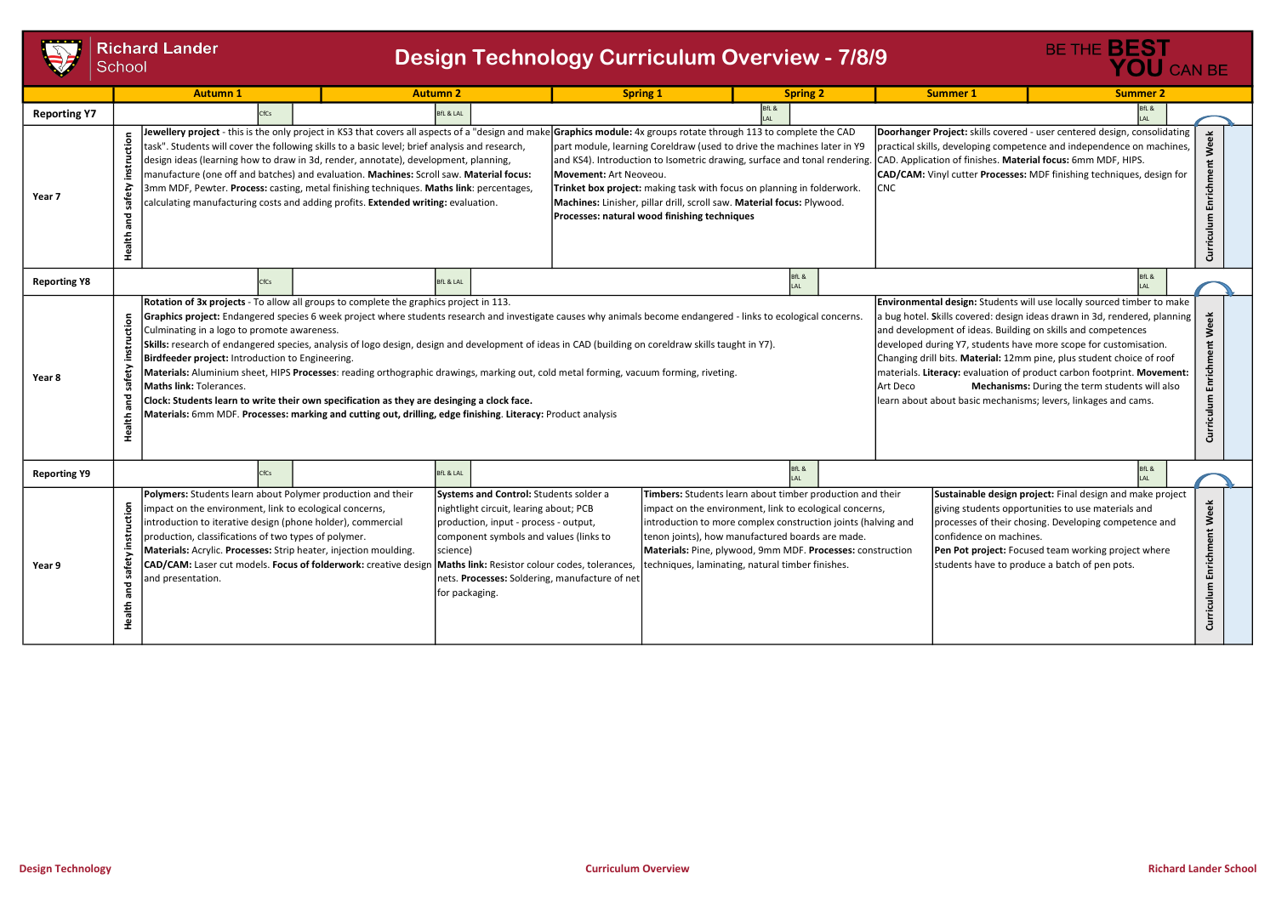



|                     | <b>Richard Lander</b><br>School                                                                                                                                                                                                                                                                                                                                                                                                                                                                                                                                                                                                                                                                                                   | <b>Autumn 1</b>                                                                                                                                                                                                                                                                                                                                                                                                                                                                                                                                                                                                                                                                                                                                                                                                                                                                                                                                                                                                                                                                                                                                                                                                                                                                                                                                                                                                                                                                                     |  | <b>Design Technology Curriculum Overview - 7/8/9</b><br><b>Autumn 2</b> |  | <b>Spring 1</b>                                                                                                                                                                                                                                                                                                                                             |       | <b>Spring 2</b> |                                  | <b>Summer 1</b>                                                                                                                                                                                                                                                                                             | BE THE <b>BEST</b> | YOU CAN BE<br><b>Summer 2</b> |                                  |
|---------------------|-----------------------------------------------------------------------------------------------------------------------------------------------------------------------------------------------------------------------------------------------------------------------------------------------------------------------------------------------------------------------------------------------------------------------------------------------------------------------------------------------------------------------------------------------------------------------------------------------------------------------------------------------------------------------------------------------------------------------------------|-----------------------------------------------------------------------------------------------------------------------------------------------------------------------------------------------------------------------------------------------------------------------------------------------------------------------------------------------------------------------------------------------------------------------------------------------------------------------------------------------------------------------------------------------------------------------------------------------------------------------------------------------------------------------------------------------------------------------------------------------------------------------------------------------------------------------------------------------------------------------------------------------------------------------------------------------------------------------------------------------------------------------------------------------------------------------------------------------------------------------------------------------------------------------------------------------------------------------------------------------------------------------------------------------------------------------------------------------------------------------------------------------------------------------------------------------------------------------------------------------------|--|-------------------------------------------------------------------------|--|-------------------------------------------------------------------------------------------------------------------------------------------------------------------------------------------------------------------------------------------------------------------------------------------------------------------------------------------------------------|-------|-----------------|----------------------------------|-------------------------------------------------------------------------------------------------------------------------------------------------------------------------------------------------------------------------------------------------------------------------------------------------------------|--------------------|-------------------------------|----------------------------------|
| <b>Reporting Y7</b> |                                                                                                                                                                                                                                                                                                                                                                                                                                                                                                                                                                                                                                                                                                                                   | CfCs                                                                                                                                                                                                                                                                                                                                                                                                                                                                                                                                                                                                                                                                                                                                                                                                                                                                                                                                                                                                                                                                                                                                                                                                                                                                                                                                                                                                                                                                                                |  | <b>BfL &amp; LAL</b>                                                    |  |                                                                                                                                                                                                                                                                                                                                                             | 3fL & |                 |                                  |                                                                                                                                                                                                                                                                                                             |                    | BfL &                         |                                  |
| Year 7              |                                                                                                                                                                                                                                                                                                                                                                                                                                                                                                                                                                                                                                                                                                                                   | <b>lewellery project</b> - this is the only project in KS3 that covers all aspects of a "design and make  <b>Graphics module:</b> 4x groups rotate through 113 to complete the CAD<br>Doorhanger Project: skills covered - user centered design, consolidating<br>task". Students will cover the following skills to a basic level; brief analysis and research,<br>part module, learning Coreldraw (used to drive the machines later in Y9<br>practical skills, developing competence and independence on machines,<br>design ideas (learning how to draw in 3d, render, annotate), development, planning,<br>and KS4). Introduction to Isometric drawing, surface and tonal rendering. CAD. Application of finishes. Material focus: 6mm MDF, HIPS.<br>manufacture (one off and batches) and evaluation. Machines: Scroll saw. Material focus:<br>CAD/CAM: Vinyl cutter Processes: MDF finishing techniques, design for<br>Movement: Art Neoveou.<br>3mm MDF, Pewter. Process: casting, metal finishing techniques. Maths link: percentages,<br>Trinket box project: making task with focus on planning in folderwork.<br><b>CNC</b><br>calculating manufacturing costs and adding profits. Extended writing: evaluation.<br>Machines: Linisher, pillar drill, scroll saw. Material focus: Plywood.<br>Processes: natural wood finishing techniques                                                                                                                                               |  |                                                                         |  |                                                                                                                                                                                                                                                                                                                                                             |       |                 |                                  | Enrichm<br>◡                                                                                                                                                                                                                                                                                                |                    |                               |                                  |
| <b>Reporting Y8</b> |                                                                                                                                                                                                                                                                                                                                                                                                                                                                                                                                                                                                                                                                                                                                   | fCs                                                                                                                                                                                                                                                                                                                                                                                                                                                                                                                                                                                                                                                                                                                                                                                                                                                                                                                                                                                                                                                                                                                                                                                                                                                                                                                                                                                                                                                                                                 |  | <b>BfL &amp; LAL</b>                                                    |  |                                                                                                                                                                                                                                                                                                                                                             |       | BfL &<br>I AI   |                                  |                                                                                                                                                                                                                                                                                                             |                    | IfL &                         |                                  |
| Year 8              | tio                                                                                                                                                                                                                                                                                                                                                                                                                                                                                                                                                                                                                                                                                                                               | <b>Environmental design:</b> Students will use locally sourced timber to make<br>Rotation of 3x projects - To allow all groups to complete the graphics project in 113.<br>Graphics project: Endangered species 6 week project where students research and investigate causes why animals become endangered - links to ecological concerns.<br>a bug hotel. Skills covered: design ideas drawn in 3d, rendered, planning<br>and development of ideas. Building on skills and competences<br>Culminating in a logo to promote awareness.<br>Skills: research of endangered species, analysis of logo design, design and development of ideas in CAD (building on coreldraw skills taught in Y7).<br>developed during Y7, students have more scope for customisation.<br>Birdfeeder project: Introduction to Engineering.<br>Changing drill bits. Material: 12mm pine, plus student choice of roof<br>Materials: Aluminium sheet, HIPS Processes: reading orthographic drawings, marking out, cold metal forming, vacuum forming, riveting.<br>materials. Literacy: evaluation of product carbon footprint. Movement:<br>Mechanisms: During the term students will also<br><b>Maths link: Tolerances.</b><br>Art Deco<br>Clock: Students learn to write their own specification as they are desinging a clock face.<br>learn about about basic mechanisms; levers, linkages and cams.<br>Materials: 6mm MDF. Processes: marking and cutting out, drilling, edge finishing. Literacy: Product analysis |  |                                                                         |  |                                                                                                                                                                                                                                                                                                                                                             |       |                 | Week<br>Enrichment<br>Curriculum |                                                                                                                                                                                                                                                                                                             |                    |                               |                                  |
| <b>Reporting Y9</b> |                                                                                                                                                                                                                                                                                                                                                                                                                                                                                                                                                                                                                                                                                                                                   | CfCs                                                                                                                                                                                                                                                                                                                                                                                                                                                                                                                                                                                                                                                                                                                                                                                                                                                                                                                                                                                                                                                                                                                                                                                                                                                                                                                                                                                                                                                                                                |  | <b>BfL &amp; LAL</b>                                                    |  |                                                                                                                                                                                                                                                                                                                                                             |       | BfL &           |                                  |                                                                                                                                                                                                                                                                                                             |                    | BfL &                         |                                  |
| Year 9              | Polymers: Students learn about Polymer production and their<br>Systems and Control: Students solder a<br>ction<br>impact on the environment, link to ecological concerns,<br>nightlight circuit, learing about; PCB<br>introduction to iterative design (phone holder), commercial<br>production, input - process - output,<br>production, classifications of two types of polymer.<br>component symbols and values (links to<br>Materials: Acrylic. Processes: Strip heater, injection moulding.<br>science)<br>CAD/CAM: Laser cut models. Focus of folderwork: creative design<br>Maths link: Resistor colour codes, tolerances,<br>nets. Processes: Soldering, manufacture of net<br>and presentation.<br>for packaging.<br>I. |                                                                                                                                                                                                                                                                                                                                                                                                                                                                                                                                                                                                                                                                                                                                                                                                                                                                                                                                                                                                                                                                                                                                                                                                                                                                                                                                                                                                                                                                                                     |  |                                                                         |  | Timbers: Students learn about timber production and their<br>impact on the environment, link to ecological concerns,<br>introduction to more complex construction joints (halving and<br>tenon joints), how manufactured boards are made.<br>Materials: Pine, plywood, 9mm MDF. Processes: construction<br>techniques, laminating, natural timber finishes. |       |                 |                                  | Sustainable design project: Final design and make project<br>giving students opportunities to use materials and<br>processes of their chosing. Developing competence and<br>confidence on machines.<br>Pen Pot project: Focused team working project where<br>students have to produce a batch of pen pots. |                    |                               | Week<br>Enrichment<br>Curriculum |